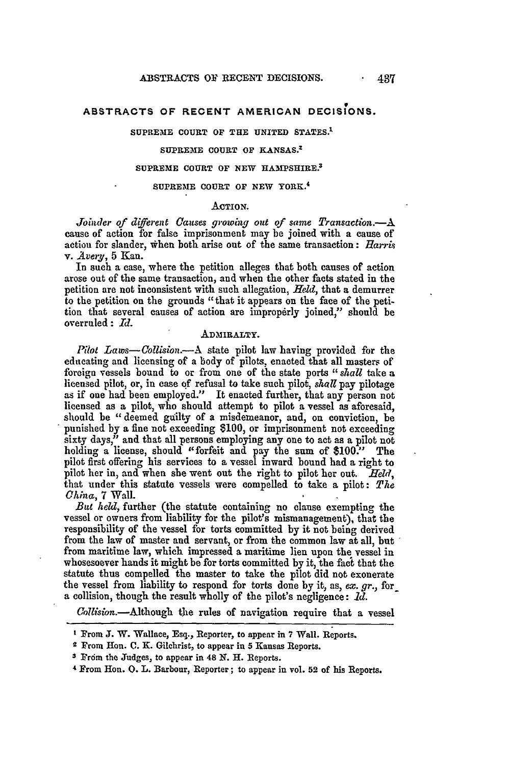# **9 ABSTRACTS OF RECENT AMERICAN DECISIONS.**

# **SUPREME COURT OF THE UNITED STATES. <sup>1</sup>**

# **SUPREME COURT OF KANSAS.<sup>1</sup>**

# **SUPREME COURT OF NEW HAMPSHIRE.<sup>3</sup>**

# **SUPREME COURT OF NEW YORK.<sup>4</sup>**

# **ACTION.**

*Joinder of different Causes growing out of same Transaction.-A* cause of action for false imprisonment may be joined with a cause of action for slander, when both arise out of the same transaction: *Harris* v. *Aveqy,* **5** Kan.

In such a case, where the petition alleges that both causes of action arose out of the same transaction, and when the other facts stated in the petition are not inconsistent with such allegation, *Held,* that a demurrer to the petition on the grounds "that it appears on the face of the petition that several causes of action are improperly joined," should be overruled: *Id.*

# **ADMIRALTY.**

*Pilot Laws- Collision.--A* state pilot law having provided for the educating and licensing of a body of pilots, enacted that all masters of foreign vessels bound to or from one of the state ports *"shall* take a licensed pilot, or, in case of refusal to take such pilot, *shall* pay pilotage as if one had been employed." It enacted further, that any person not licensed as **a** pilot, who should attempt to pilot a vessel as aforesaid, should be "deemed guilty of a misdemeanor, and, on conviction, be punished by a fine not exceeding \$100, or imprisonment not exceeding sixty days," and that all persons employing any one to act as a pilot not holding a license, should "forfeit and pay the sum of **\$100."** The pilot first offering his services to a vessel inward bound had a right to pilot her in, and when she went out the right to pilot her out. *Held,* that under this statute vessels were compelled to take a pilot: *The China,* 7 Wall.

*But held,* further (the statute containing no clause exempting the vessel or owners from liability for the pilot's mismanagement), that the responsibility of the vessel for torts committed by it not being derived from the law of master and servant, or from the common law at all, but from maritime law, which impressed a maritime lien upon the vessel in whosesoever hands it might be for torts committed by it, the fact that the statute thus compelled the master to take the pilot did not exonerate the vessel from liability to respond for torts done by *it,* as, *ex. gr.,* for a collision, though the result wholly of the pilot's negligence: *1d.*

Collision.---Although the rules of navigation require that a vessel

**<sup>I</sup>**From **J.** W. Wallace, Esq., Reporter, to appear in **7** Wall. Reports.

**<sup>2</sup>** From Hon. **C. K.** Gilchrist, to appear in 5 Kansas Reports.

**<sup>3</sup>** Fr6m the Judges, to appear in **48** *N.* H. Reports.

<sup>4</sup> From Hon. **0.** L. Barbour, Reporter; to appear in vol. **52** of his Reports.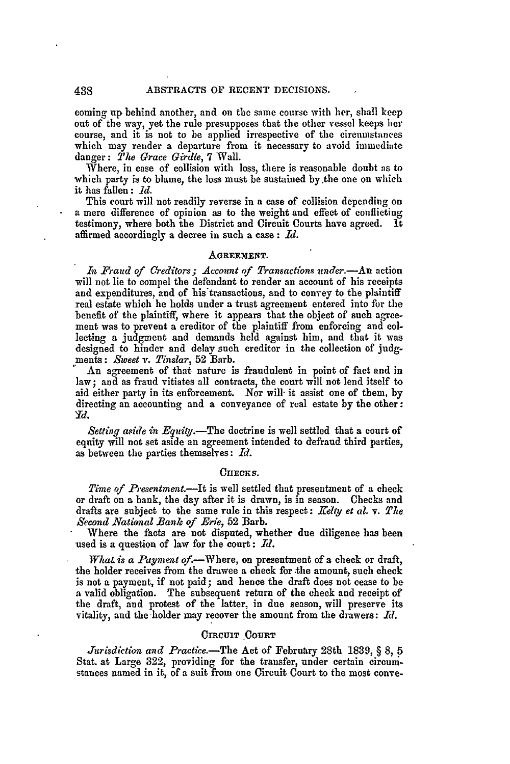coming up behind another, and on the same course with her, shall keep **out** of **the** way, yet **the** rule presupposes that the other vessel keeps **her** course, and it is not to be applied irrespective of the circumstances which may render a departure from it necessary to avoid immediate danger: *The Grace Girdle,* 7 Wall.

Where, in case of collision with loss, there is reasonable doubt as to which party is to blame, the loss must be sustained by the one on which it has fallen: *Id.*

This court will not readily reverse in a case of collision depending on a mere difference of opinion as to the weight and effect of conflicting testimony, where both the District and Circuit Courts have agreed. It affirmed accordingly a decree in such a case: *Id.*

### **AGREEMIENT.**

*In Fraud of Creditors; Account of Transactions wnder.-An* action will not lie to compel the defendant to render an account of his receipts and expenditures, and of his'transactions, and to convey to the plaintiff real estate which he holds under a trust agreement entered into for the benefit of the plaintiff, where it appears that the object of such agreement was to prevent a creditor of the plaintiff from enforcing and collecting a judgment and demands held against him, and that it was designed to hinder and delay such creditor in the collection of judgments: *Sweet v. Tinslar,* 52 Barb.

An agreement of that nature is fraudulent in point of fact and in law; and as fraud vitiates all contracts, the court will not lend itself to aid either party in its enforcement. Nor will- it assist one of them, **by** directing an accounting and a conveyance of real estate **by** the other: Yd.

*Setting aside in Equity.-The* doctrine is well settled that a court of equity will not set aside an agreement intended to defraud third parties, as between the parties themselves: *Id.*

### *CnucKs.*

*Time of Presentment.*—It is well settled that presentment of a check or draft on a bank, the day after it is drawn, is in season. Checks and drafts are subject to the same rule in this respect: *Kelty et al. v. The Second National Bank of Erie,* **52** Barb.

Where the facts are not disputed, whether due diligence has been used is a question of law for the court: *Id.*

*What is a Payment of*.—Where, on presentment of a check or draft, the holder receives from the drawee a check for .the amount, such check is not a payment, if not paid; and hence the draft does not cease to be a valid obligation. The subsequent return of the check and receipt of the draft, and protest of the latter, in due season, will preserve its vitality, and the holder may recover the amount from the drawers: *IR.*

# **CIRCUIT** COURT

*Jurisdiction and Practice.-The* Act of February 28th 1839, § 8, 5 Stat. at Large 322, providing for the transfer, under certain circumstances named in it, of a suit from one Circuit Court **to** the most conve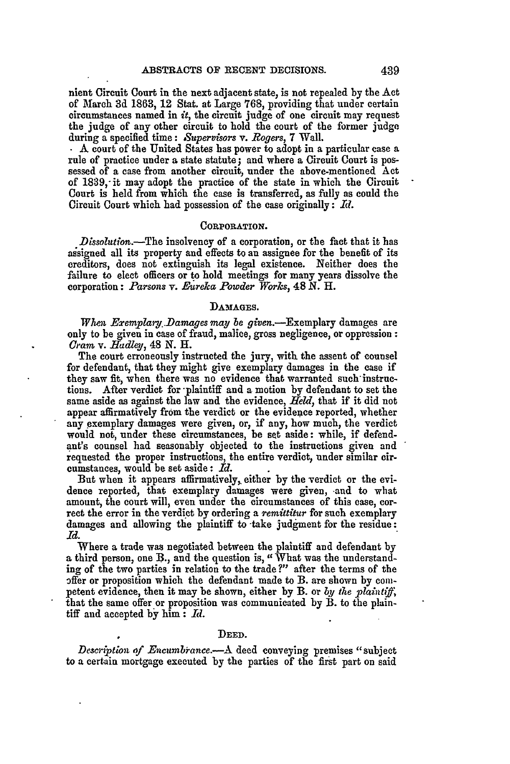nient Circuit Court in the next adjacent state, is not repealed **by** the Act of March **3d 1863,** 12 Stat. at Large **768,** providing that under certain circumstances named in  $it$ , the circuit judge of one circuit may request the judge of any other circuit to hold the court of the former judge during a specified time: *Supervisors v. Rogers*, 7 Wall.<br>**.** A court of the United States has power to adopt in a particular case a

rule of practice under a state statute; and where a Circuit Court is possessed of a case from another circuit, under the above-mentioned Act of **1839,-** it may adopt the practice of the state in which the Circuit Court is held from which the case is transferred, as **fully** as could the Circuit Court which had possession of the case originally:  $Id.$ 

### **CORPORATION.**

Dissolution.—The insolvency of a corporation, or the fact that it has assigned all its property and effects to an assignee for the benefit of its creditors, does not extinguish its legal existence. Neither does the failure to elect officers or to hold meetings for many years dissolve the corporation: *Parsons v. Fureka Powder Works,* 48 **N.** H.

#### **DAMAGES.**

*When Exemplary Damages may be given.*—Exemplary damages are only to be given in case of fraud, malice, gross negligence, or oppression: Gram *v. Hadley,* 48 *N. H.*

The court erroneously instructed the jury, with the assent of counsel for defendant, that they might give exemplary damages in the case if they saw fit, when there was no evidence that warranted such'instructions. After verdict for -plaintiff and a motion by defendant **to** set the same aside as against the law and the evidence, *Held,* that if it did not appear affirmatively from the verdict or the evidence reported, whether any exemplary damages were given, or, if any, how much, the verdict would not, under these circumstances, be set aside: while, if defendaut's counsel had seasonably objected to the instructions given and requested the proper instructions, the entire verdict, under similar circumstances, would be set aside: *Id.*

But when it appears affirmatively, either **by** the verdict or the evidence reported, that exemplary damages were given, and to what amount, the court will, even under the circumstances of this case, correct the error in the verdict by ordering a *remittitur* for such exemplary damages and allowing the plaintiff to take judgment for the residue: *Id.*

Where a trade was negotiated between the plaintiff and defendant **by** a third person, one **B.,** and the question is, "What was the understanding of the two parties in relation **to** the trade?" after the terms of the offer or proposition which the defendant made to B. are shown by conipetent evidence, then it may be shown, either by B. or by the plaintiff, that the same offer or proposition was communicated **by** B. to the plaintiff and accepted **by** him: *Rd.*

### **DEED.**

*Description of Encumbrance.*—A deed conveying premises "subject **to** a certain mortgage executed by the parties of the first part on said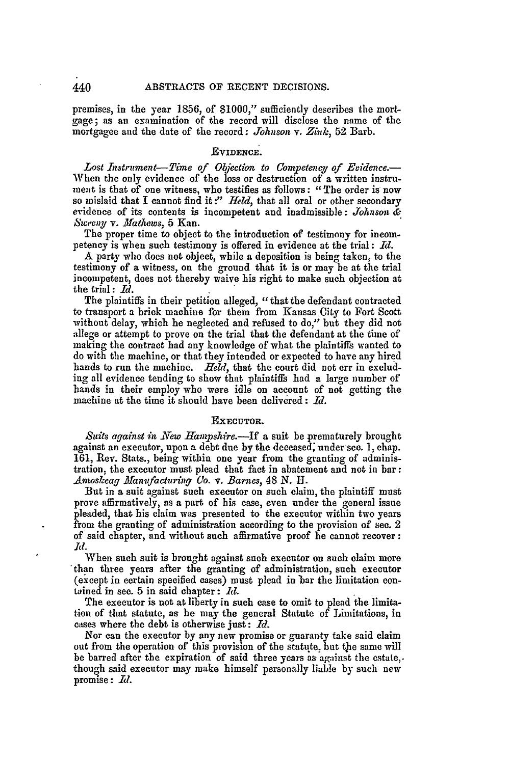premises, in the year 1856, of \$1000," sufficiently describes the mortgage; as an examination of the record will disclose the name of the mortgagee and the date of the record: *Johnson v. Zink*, 52 Barb.

# **EVIDENCE.**

*Lost Instrument-Time of Objection to Competencg of Evidence.-* When the only evidence of the loss or destruction of a written instrument is that of one witness, who testifies as follows: "The order **is** now so mislaid that I cannot find it :" *Held,* that all oral or other secondary evidence of its contents is incompetent and inadmissible: *Johnson & Sweeny v. .Mathews, 5* Kan.

The proper time to object to the introduction of testimony for incompetency is when such testimony is offered in evidence at the trial: *Id.*

**A** party who does not object, while a deposition is being taken, to the testimony of a witness, on the ground that it is or may be at the trial incompetent, does not thereby waive his right to make such objection at the trial: *11.*

The plaintiffs in their petition alleged, "that the defendant contracted to transport a brick machine for them from Kansas City to Fort Scott without delay, which he neglected and refused to do," but they did not allege or attempt to prove on the trial that the defendant at the time of making the contract had any knowledge of what the plaintiffs wanted to do with the machine, or that they intended or expected to have any hired hands to run the machine. *Held,* that the court did not err in excluding all evidence tending to show that plaintiffs had a large number of hands in their employ who were idle on account of not getting the machine at the time it should have been delivered : *11.*

# EXECUTOR.

*8iats against 'in .New Hamnshre.-If* a suit be prematurely brought against an executor, upon a debt due **by** the deceased; under see. **1,** chap. **161,** Rev. Stats., being within one year from the granting of administration, the executor must plead that fact in abatement and not in bar: *Amoskeag .faanfacturing Co. v. Barnes,* 48 *N. H1.*

But in a suit against such executor on such claim, the plaintiff must prove affirmatively, as a part of his case, even under the general issue pleaded, that his claim was presented to the executor within two years from the granting of administration according to the provision of sec. 2 of said chapter, and without such affirmative proof he cannot recover: *Id.*

When such suit is brought against such executor on such claim more than three years after the granting of administration, such executor (except in certain specified cases) must plead in 'bar the limitation con- tained in sec. 5 in said chapter: *MI.*

The executor is not at liberty in such case to omit to plead the limitation of that statute, as he may the general Statute of Limitations, in cases where the debt is otherwise just: *Id.*

Nor can the executor by any new promise or guaranty take said claim out from the operation of this provision of the statute, but the same will be barred after the expiration of said three years as against the estate,. though said executor may make himself personally liable by such new promise: *Id.* 

440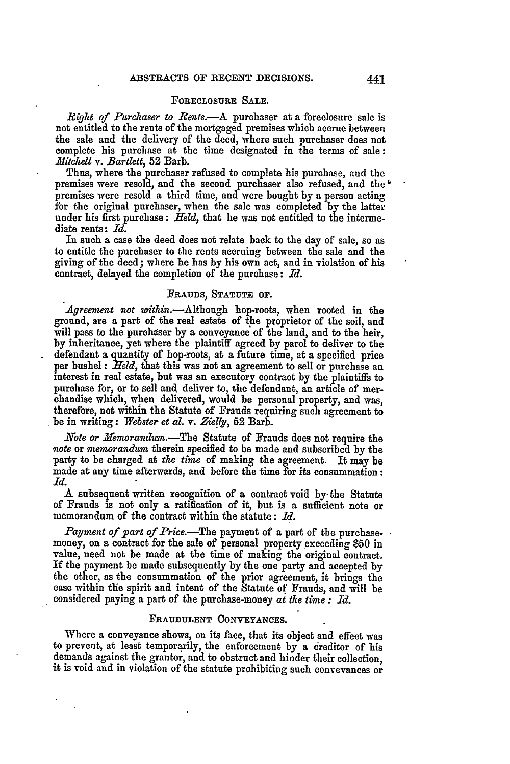# FORECLOSURE SALE.

*Right of Purchaser to Rents.*—A purchaser at a foreclosure sale is not entitled to the rents of the mortgaged premises which accrue between the sale and the delivery of the deed, where such purchaser does not complete his purcbase at the time designated in the terms of sale: *Mitchell v. Bartlett,* 52 Barb.

Thus, where the purchaser refused to complete his purchase, and the premises were resold, and the second purchaser also refused, and the **"** premises were resold a third time, and were bought by a person acting for the original purchaser, when the sale was completed **by** the latter under his first purchase: *Held,* that he was not entitled to the intermediate rents: *Id.*

In such a case the deed does not relate back to the day of sale, so as to entitle the purchaser to the rents accruing between the sale and the giving of the deed; where he has **by** his own act, and in violation of his contract, delayed the completion of the purchase: *Id.*

# **FRAUDS, STATUTE OF.**

Agreement not within.-Although hop-roots, when rooted in the ground, are a part of the real estate of the proprietor of the soil, and will pass to the purchaser by a conveyance of the land, and to the heir, **by** inheritance, yet where the plaintiff agreed by parol to deliver to the defendant a quantity of hop-roots, at a future time, at a specified price per bushel: *Held*, that this was not an agreement to sell or purchase an interest in real estate, but was an executory contract by the plaintiffs to purchase for, or to sell and deliver to, the defendant, an article of merchandise which, **when** delivered, would be personal property, and was, therefore, not within the Statute of Frauds requiring such agreement to be in writing: Webster et al. v. Zielly, 52 Barb.

*Note or femorandum.-The* Statute of Frauds does not require the *note* or *memorandum* therein specified to be made and subscribed by the party to be charged at *the time* of making the agreement. It may be made at any time afterwards, and before the time for its consummation: *Id.*

**A** subsequent written recognition of a contract void **by** the Statute of Frauds is not only **a** ratification of it, but is a sufficient note or memorandum of the contract within the statute: *Id.*

*Payment of part of Price.-The* payment of a part of the purchasemoney, on a contract for the sale of personal property exceeding \$50 in value, need not be made at the time of making the original contract. If the payment be made subsequently **by** the one party and accepted **by** the other, as the consummation of the prior agreement, it brings the case within the spirit and intent of the Statute of Frauds, and will be considered paying a part of the purchase-money *at the time : Id.*

# **FRAUDULENT CONVEYANCES.**

Where a conveyance shows, on its face, that its object and effect was to prevent, at least temporarily, the enforcement **by** a creditor of his demands against the grantor, and to obstruct and hinder their collection, it is void and in violation of the statute prohibiting such conveyances or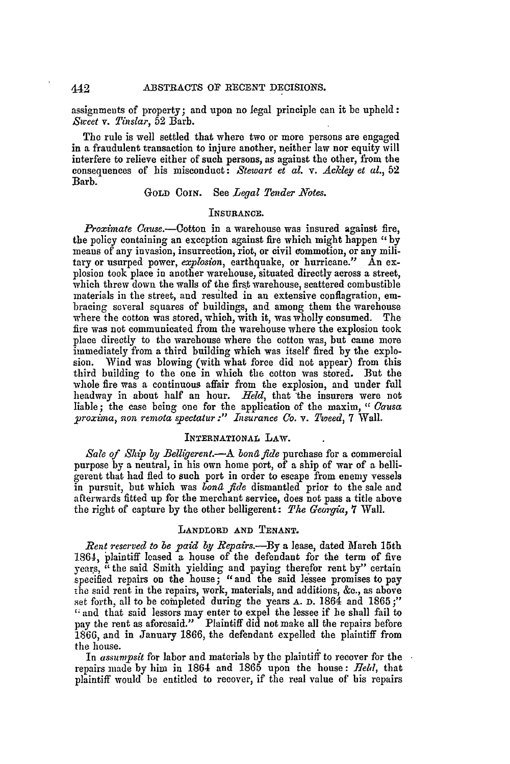assignments of property; and upon no legal principle can it be upheld: *Sweet v. Tinslar,* 52 Barb.

The rule is well settled that where two or more persons are engaged in a fraudulent transaction to injure another, neither law nor equity will interfere to relieve either of such persons, as against the other, from the consequences of his misconduct: *Stewart et* al. v. *Ackley et al.,* 52 Barb.

# GOLD COIN. See *Legal Tender N'otes.*

# INSURANCE.

*Proximate Cause.-Ootton* in a warehouse was insured against fire, the policy containing an exception against fire which might happen *"by* means of any invasion, insurrection, riot, or civil commotion, or any military or usurped power, *explosion*, earthquake, or hurricane." An explosion took place in another warehouse, situated directly across a street, which threw down the walls of the first warehouse, scattered combustible materials in the street, and resulted in an extensive conflagration, embracing several squares of buildings, and among them the warehouse where the cotton was stored, which, with it, was wholly consumed. The fire was not communicated from the warehouse where the explosion took place directly to the warehouse where the cotton was, but came more immediately from a third building which was itself fired by the explosion. Wind was blowing (with what force did not appear) from this third building to the one in which the cotton was stored. But the whole fire was a continuous affair from the explosion, and under full headway in about half an hour. *Held,* that the insurers were not liable; the case being one for the application of the maxim, " Causa proxima, non remota spectatur :" Insurance Co. v. Tweed, 7 Wall.

### INTERNATIONAL LAW.

*Sale of Ship by Belligerent.*—A *bond fide* purchase for a commercial purpose by a neutral, in his own home port, of a ship of war of a belligerent that had fled to such port in order to escape from enemy vessels in pursuit, but which was *bona fide* dismantled prior to the sale and afterwards fitted up for the merchant service, does not pass a title above the right of capture by the other belligerent: *The Georgia*, 7 Wall.

# **LANDLORD AND TENANT.**

*Rent reserved to be paid* **by** *Repairs.-By* a lease, dated March 15th 1864, plaintiff leased a house of the defendant for the term of five years, "the said Smith yielding and paying therefor rent by" certain specified repairs on the house; "and the said lessee promises to pay 'he said rent in the repairs, work, materials, and additions, &c., as above set forth, all to be coinpleted during the years **A. D.** 1864 and 1865 **;"** " and that said lessors may enter to expel the lessee if he shall fail to pay the rent as aforesaid." Plaintiff did not make all the repairs before 1866, and in January 1866, the defendant expelled the plaintiff from the house.

In assumpsit for labor and materials by the plaintiff to recover for the repairs made by him in 1864 and 1865 upon the house: *field,* that plaintiff would be entitled to recover, if the real value of his repairs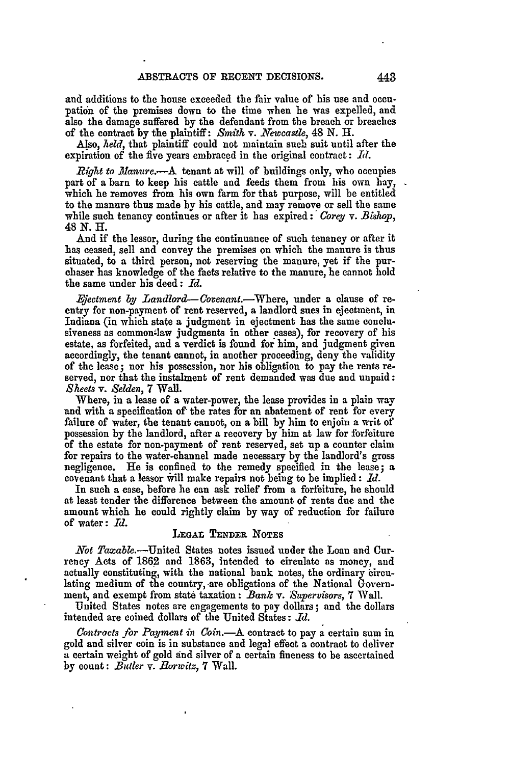and additions to the house exceeded the fair value of his use and occnpation of the premises down to the time when he was expelled, and also the damage suffered **by** the defendant from the breach or breaches of the contract **by** the plaintiff: *Smith v. Newcastle,* 48 **N.** H.

Also, *held,* that plaintiff could not maintain such suit until after the expiration of the five years embraced in the original contract:  $Id.$ 

*Right to Manure.*-- A tenant at will of buildings only, who occupies part of a barn to keep his cattle and feeds them from his own hay, which he removes from his own farm for that purpose, will be entitled to the manure thus made by his cattle, and may remove or sell the same while such tenancy continues or after it has expired: *Corey v. Bishop*, 48 *N. H.*

**And** if the lessor, during the continuance of such tenancy or after it has ceased, sell and convey the premises on which the manure is thus situated, to a third person, not reserving the manure, yet if the pur- chaser has knowledge of the facts relative to the manure, he cannot hold the same under his deed: *Id.*

*.jectment by Landlord- Covenant.-Where,* under a clause of reentry for non-payment of rent reserved, a landlord sues in ejectment, in Indiana (in which state a judgment in ejectment has the same conclusiveness as common-law judgments in other cases), for recovery of his estate, as forfeited, and a verdict is found for him, and judgment given accordingly, the tenant cannot, in another proceeding, deny the validity of the lease; nor his possession, nor his obligation to pay the rents reserved, nor that the instalment of rent demanded was due and unpaid: *Sheets v. Selden,* **7** Wall.

Where, in a lease of a water-power, the lease provides in a plain way and with a specification of the rates for an abatement of rent for every failure of water, the tenant cannot, on a bill by him to enjoin a writ of possession by the landlord, after a recovery **by** him at law for forfeiture of the estate for non-payment of rent reserved, set up a counter claim for repairs to the water-channel made necessary by the landlord's gross negligence. **He is** confined to the remedy specified in the lease; a covenant that a lessor will make repairs not being to be implied: *Id.* 

In such a case, before he can ask relief from a forfeiture, be should at least tender the difference between the amount of rents due and the amount which he could rightly claim **by** way of reduction for failure of water: *Id.*

# **LEGAT** TENDER **NOTES**

*Not Taxable.-United* States notes issued under the Loan and Currency Acts of 1862 and 1863, intended to circulate as money, and actually constituting, with the national bank notes, the ordinary circulating medium of the country, are obligations of the National Government, and exempt from state taxation: *Bank v. Supervisors,* **7** Wall.

United States notes are engagements to pay dollars; and the dollars intended are coined dollars of the United States:  $Id.$ 

*Contracts /or Payment in Con.-A* contract to pay a certain sum in gold and silver coin is in substance and legal effect a contract to deliver a certain weight of gold and silver of a certain fineness to be ascertained by count: *Butler v. llorwitz,* 7 Wall.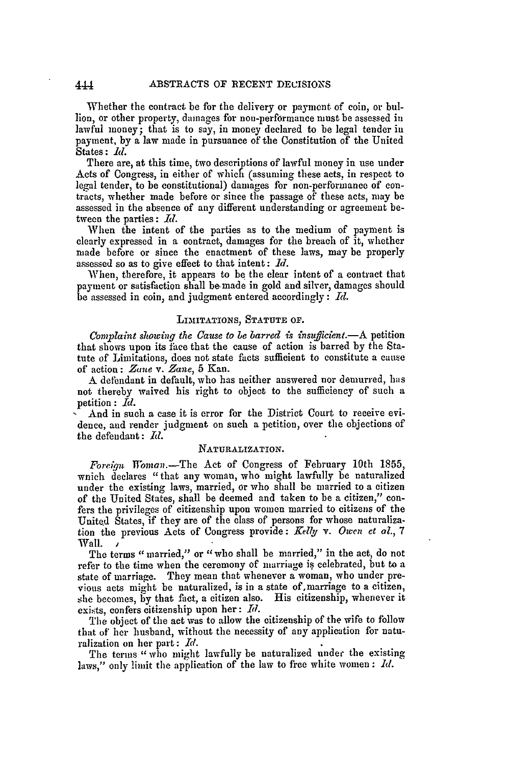Whether the contract be for the delivery or payment of coin, or bullion, or other property, damages for non-performance must be assessed in lawful money; that is to say, in money declared to be legal tender in payment, by a law made in pursuance of the Constitution of the United States **: id.**

There are, at this time, two descriptions of lawful money in use under Acts of Congress, in either of which (assuming these acts, in respect to legal tender, to be constitutional) damages for non-performance of contracts, whether made before or since the passage of these acts, may be assessed in the absence of any different understanding or agreement between the parties: *Id.*

When the intent of the parties as to the medium of payment is clearly expressed in a contract, damages for the breach of it, whether made before or since the enactment of these laws, may be properly assessed so as to give effect to that intent: *Id.*

When, therefore, it appears to be the clear intent of a contract that payment or satisfaction shall be made in gold and silver, damages should be assessed in coin, and judgment entered accordingly: *Id.*

### LIMITATIONS, **STATUTE** OF.

*Complaint showing the Cause to be barred is insufficient.-A* petition that shows upon its fice that the cause of action is barred by the Statute of Limitations, does not state facts sufficient to constitute a cause of action: Zane v. *Zane,* **5** Kan.

A defendant in default, who has neither answered nor demurred, has not thereby waived his right to object to the sufficiency of such a petition: *Id.*

And in such a case it is error for the District Court to receive evidence, and render judgment on such a petition, over the objections of the defendant: *Id.*

# NATURALIZATION.

*Foreign Woman.*-The Act of Congress of February 10th 1855, waich declares "that any woman, who might lawfully be naturalized under the existing laws, married, or who shall be married to a citizen of the United States, shall be deemed and taken to be a citizen," confers the privileges of citizenship upon women married to citizens of the United States, if they are of the class of persons for whose naturalization the previous Acts of Congress provide: *Kelly v. Owen et al.*, 7 Wall.

The terms "married," or " who shall be married," in the act, do not refer to the time when the ceremony of marriage is celebrated, but to a state of marriage. They mean that whenever a woman, who under previous acts might be naturalized, is in a state of,marriage to a citizen, she becomes, by that fact, a citizen also. **His** citizenship, whenever it exists, confers citizenship upon her: *Id.* 

The object of the act was to allow the citizenship of the wife to follow that of her husband, without the necessity of any application for naturalization on her part: *Id.*

The terms " who might lawfully be naturalized under the existing laws," only limit the application of the law to free white women: *Id.*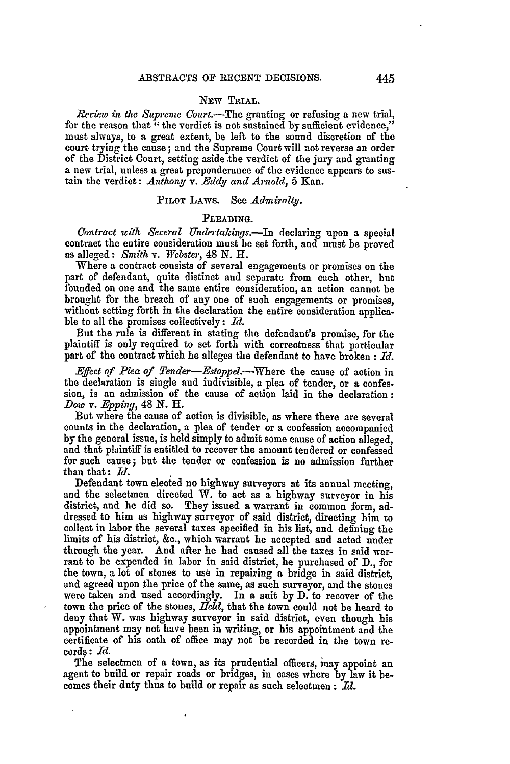# NEw TRIAL.

*Review in the Supreme Court.-The* granting or refusing a new trial, for the reason that **-**the verdict is not sustained **by** sufficient evidence," must always, to a great extent, be left to the sound discretion of the court trying the cause; and the Supreme Court will not reverse an order of the District Court, setting aside .the verdict of the jury and granting a new trial, unless a great preponderance of the evidence appears to sustain the verdict: *Anthony v. Eddy and Arnold,* **5** Kan.

# **PILOT LAWS.** See *Admiralty.*

#### **PLEADING.**

*Contract with Several Undetakings.-In* declaring upon a special contract the entire consideration must be set forth, and must be proved as alleged: *Smith v. Webster,* 48 **N.** H.

Where a contract consists of several engagements or promises on the part of defendant, quite distinct and separate from each other, but 1bunded on one and the same entire consideration, an action cannot be brought for the breach of **any** one of such engagements or promises, without setting forth in the declaration the entire consideration applicable to all the promises collectively: *Td.*

But the rule is different in stating the defendant's promise, for the plaintiff is only required to set forth with correctness that particular part of the contract which he alleges the defendant to have broken: *Id.* 

*Effect of Plea of Tender-Estoppel.-Where* the cause of action in the declaration is single and indivisible, a plea of tender, or a confession, is an admission of the cause of action laid in the declaration: *Dow v. Epping*, 48 N. H.

But where the cause of action is divisible, as where there are several counts in the declaration, a plea of tender or a confession accompanied **by** the general issue, is held simply to admit some cause of action alleged, and that plaintiff is entitled to recover the amount tendered or confessed for such cause; but the tender or confession is no admission farther than that: *Id.*

Defendant town elected no highway surveyors at its annual meeting, and the selectmen directed W. to act as a highway surveyor in his district, and he did so. They issued a warrant in common form, addressed to him as highway surveyor of said district, directing him to collect in labor the several taxes specified in his list, and defining the limits of his district, &c., which warrant he accepted and acted under through the year. And after he had caused all the taxes in said war- rant to be expended in labor in said district, he purchased of D., for the town, a lot of stones to use in repairing a bridge in said district, and agreed upon the price of the same, as such surveyor, and the stones were taken and used accordingly. In a suit by D. to recover of the town the price of the stones, *field,* that the town could not be heard to deny that W. was highway surveyor in said district, even though his appointment may not have been in writing, or his appointment and the certificate of his oath of office may not be recorded in the town records: *Id.*

The selectmen of a town, as its prudential officers, may appoint an agent to build or repair roads or bridges, in cases where by law it becomes their duty thus to build or repair as such selectmen : *Id.*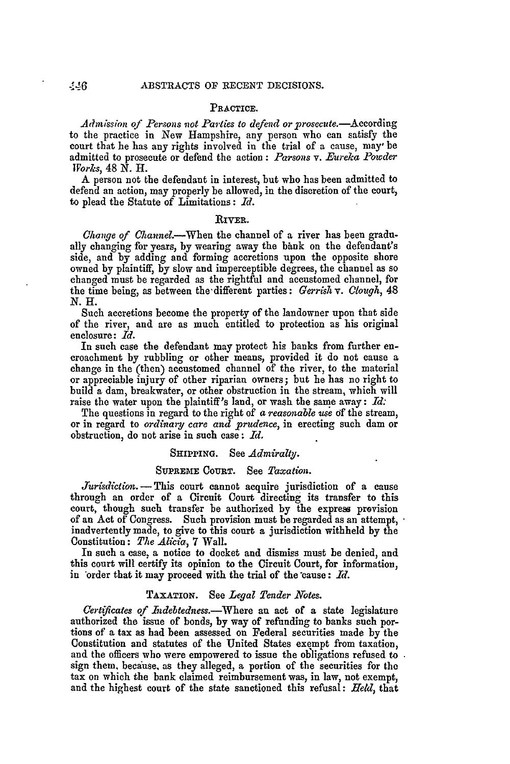### **PRACTICE.**

Admission of Persons not Parties to defend or prosecute.-According to the practice in New Hampshire, any person who can satisfy the court that he has any rights involved in the trial of a cause, may' be admitted to prosecute or defend the action: *Parsons v. Eureka Powder Works,* 48 *N.* H.

A person not the defendant in interest, but who has been admitted to defend an action, may properly be allowed, in the discretion of the court, to plead the Statute of Limitations: *Id.*

#### **RIVER.**

*Change qf* Channel.-When the channel of a river has been gradually changing for years, by wearing away the bank on the defendant's side, and **by** adding and forming accretions upon the opposite shore owned **by** plaintiff, **by** slow and imperceptible degrees, the channel as so changed must be regarded as the rightful and accustomed channel, for the time being, as between the different parties: *Gerrish v. Clough*, 48 N.H.

Such accretions become the property of the landowner upon that side of the river, and are as much entitled to protection as his original enclosure: *Id.*

In such case the defendant may protect his banks from further encroachment **by** rubbling or other means, provided it do not cause a change in the (then) accustomed channel of the river, to the material or appreciable injury of other riparian owners; but he has no right to build a dam, breakwater, or other obstruction in the stream, which will raise the water upon the plaintiff's land, or wash the same away: *Id:*

The questions in regard to the right of a *reasonable use* **of** the stream, or in regard to *ordinary care and prudence,* in erecting such dam or obstruction, do not arise in such case: *Id.*

### **SHIPPING.** See *Admiraltj.*

# **SUPREME COURT.** See *Taxation.*

*Jurdiction.* **-** This court cannot acquire jurisdiction of a cause through an order of a Circuit Court directing its transfer to this court, though such transfer be authorized **by** the express provision of an Act of Congress. Such provision must be regarded as an attempt, inadvertently made, to give to this court a jurisdiction withheld **by** the Constitution: *The Alicia.* **7** Wall.

In such a case, a notice to docket and dismiss must be denied, and this court will certify its opinion to the Circuit Court, for information, in order that it may proceed with the trial of the cause: Id.

# **TAXATION.** See *Legal Tender Notes.*

*Certzficates of Indebtedness.-Where* an act of a state legislature authorized the issue of bonds, by way of refunding to banks such portions of a tax as had been assessed on Federal securities made by the Constitution and statutes of the United States exempt from taxation, and the officers who were empowered to issue the obligations refused to sign them. because, as they alleged, a portion of the securities for the tax on which the bank claimed reimbursement was, in law, not exempt, and the highest court of the state sanctioned this refusal: *Held,* that